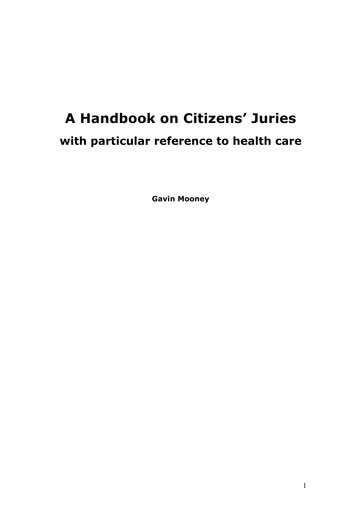# **A Handbook on Citizens' Juries with particular reference to health care**

**Gavin Mooney**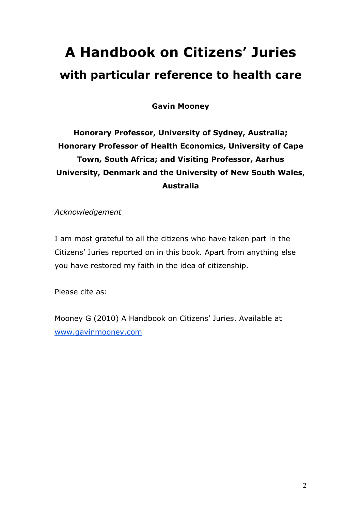# **A Handbook on Citizens' Juries with particular reference to health care**

**Gavin Mooney**

# **Honorary Professor, University of Sydney, Australia; Honorary Professor of Health Economics, University of Cape Town, South Africa; and Visiting Professor, Aarhus University, Denmark and the University of New South Wales, Australia**

*Acknowledgement*

I am most grateful to all the citizens who have taken part in the Citizens' Juries reported on in this book. Apart from anything else you have restored my faith in the idea of citizenship.

Please cite as:

Mooney G (2010) A Handbook on Citizens' Juries. Available at www.gavinmooney.com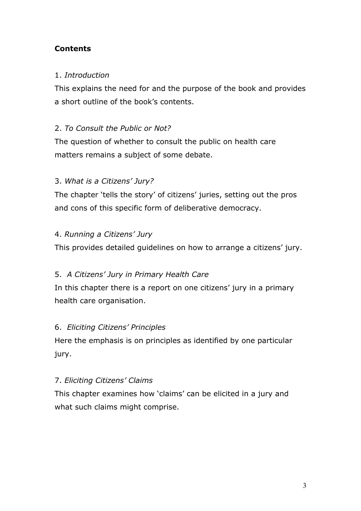## **Contents**

## 1. *Introduction*

This explains the need for and the purpose of the book and provides a short outline of the book's contents.

## 2. *To Consult the Public or Not?*

The question of whether to consult the public on health care matters remains a subject of some debate.

## 3. *What is a Citizens' Jury?*

The chapter 'tells the story' of citizens' juries, setting out the pros and cons of this specific form of deliberative democracy.

## 4. *Running a Citizens' Jury*

This provides detailed guidelines on how to arrange a citizens' jury.

## 5. *A Citizens' Jury in Primary Health Care*

In this chapter there is a report on one citizens' jury in a primary health care organisation.

#### 6. *Eliciting Citizens' Principles*

Here the emphasis is on principles as identified by one particular jury.

#### 7. *Eliciting Citizens' Claims*

This chapter examines how 'claims' can be elicited in a jury and what such claims might comprise.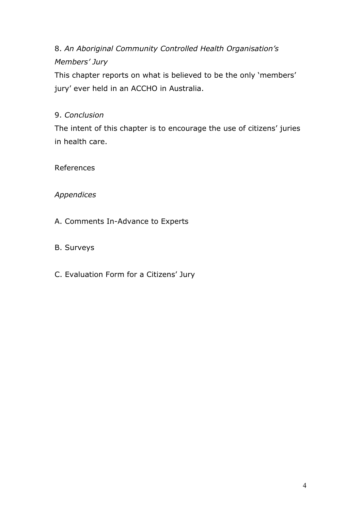## 8. *An Aboriginal Community Controlled Health Organisation's Members' Jury*

This chapter reports on what is believed to be the only 'members' jury' ever held in an ACCHO in Australia.

## 9. *Conclusion*

The intent of this chapter is to encourage the use of citizens' juries in health care.

References

## *Appendices*

- A. Comments In-Advance to Experts
- B. Surveys
- C. Evaluation Form for a Citizens' Jury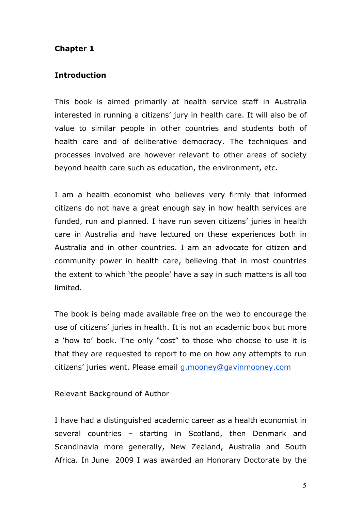## **Chapter 1**

#### **Introduction**

This book is aimed primarily at health service staff in Australia interested in running a citizens' jury in health care. It will also be of value to similar people in other countries and students both of health care and of deliberative democracy. The techniques and processes involved are however relevant to other areas of society beyond health care such as education, the environment, etc.

I am a health economist who believes very firmly that informed citizens do not have a great enough say in how health services are funded, run and planned. I have run seven citizens' juries in health care in Australia and have lectured on these experiences both in Australia and in other countries. I am an advocate for citizen and community power in health care, believing that in most countries the extent to which 'the people' have a say in such matters is all too limited.

The book is being made available free on the web to encourage the use of citizens' juries in health. It is not an academic book but more a 'how to' book. The only "cost" to those who choose to use it is that they are requested to report to me on how any attempts to run citizens' juries went. Please email g.mooney@gavinmooney.com

Relevant Background of Author

I have had a distinguished academic career as a health economist in several countries – starting in Scotland, then Denmark and Scandinavia more generally, New Zealand, Australia and South Africa. In June 2009 I was awarded an Honorary Doctorate by the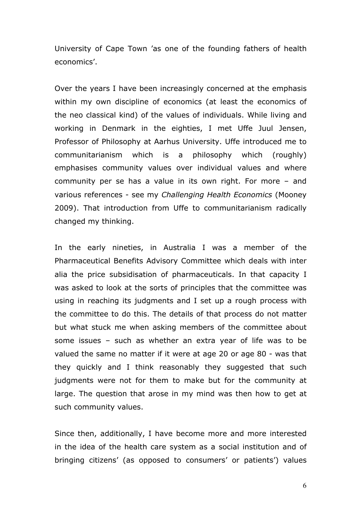University of Cape Town 'as one of the founding fathers of health economics'.

Over the years I have been increasingly concerned at the emphasis within my own discipline of economics (at least the economics of the neo classical kind) of the values of individuals. While living and working in Denmark in the eighties, I met Uffe Juul Jensen, Professor of Philosophy at Aarhus University. Uffe introduced me to communitarianism which is a philosophy which (roughly) emphasises community values over individual values and where community per se has a value in its own right. For more – and various references - see my *Challenging Health Economics* (Mooney 2009). That introduction from Uffe to communitarianism radically changed my thinking.

In the early nineties, in Australia I was a member of the Pharmaceutical Benefits Advisory Committee which deals with inter alia the price subsidisation of pharmaceuticals. In that capacity I was asked to look at the sorts of principles that the committee was using in reaching its judgments and I set up a rough process with the committee to do this. The details of that process do not matter but what stuck me when asking members of the committee about some issues – such as whether an extra year of life was to be valued the same no matter if it were at age 20 or age 80 - was that they quickly and I think reasonably they suggested that such judgments were not for them to make but for the community at large. The question that arose in my mind was then how to get at such community values.

Since then, additionally, I have become more and more interested in the idea of the health care system as a social institution and of bringing citizens' (as opposed to consumers' or patients') values

6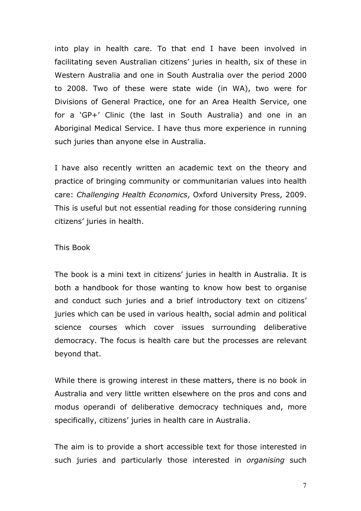into play in health care. To that end I have been involved in facilitating seven Australian citizens' juries in health, six of these in Western Australia and one in South Australia over the period 2000 to 2008. Two of these were state wide (in WA), two were for Divisions of General Practice, one for an Area Health Service, one for a 'GP+' Clinic (the last in South Australia) and one in an Aboriginal Medical Service. I have thus more experience in running such juries than anyone else in Australia.

I have also recently written an academic text on the theory and practice of bringing community or communitarian values into health care: *Challenging Health Economics*, Oxford University Press, 2009. This is useful but not essential reading for those considering running citizens' juries in health.

#### This Book

The book is a mini text in citizens' juries in health in Australia. It is both a handbook for those wanting to know how best to organise and conduct such juries and a brief introductory text on citizens' juries which can be used in various health, social admin and political science courses which cover issues surrounding deliberative democracy. The focus is health care but the processes are relevant beyond that.

While there is growing interest in these matters, there is no book in Australia and very little written elsewhere on the pros and cons and modus operandi of deliberative democracy techniques and, more specifically, citizens' juries in health care in Australia.

The aim is to provide a short accessible text for those interested in such juries and particularly those interested in *organising* such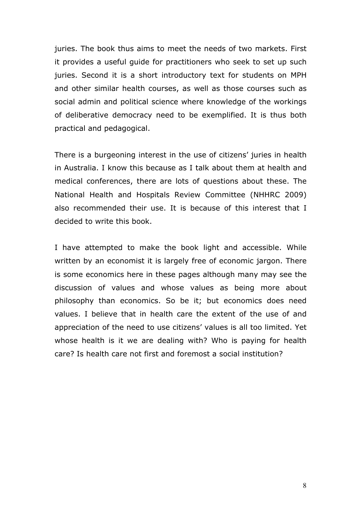juries. The book thus aims to meet the needs of two markets. First it provides a useful guide for practitioners who seek to set up such juries. Second it is a short introductory text for students on MPH and other similar health courses, as well as those courses such as social admin and political science where knowledge of the workings of deliberative democracy need to be exemplified. It is thus both practical and pedagogical.

There is a burgeoning interest in the use of citizens' juries in health in Australia. I know this because as I talk about them at health and medical conferences, there are lots of questions about these. The National Health and Hospitals Review Committee (NHHRC 2009) also recommended their use. It is because of this interest that I decided to write this book.

I have attempted to make the book light and accessible. While written by an economist it is largely free of economic jargon. There is some economics here in these pages although many may see the discussion of values and whose values as being more about philosophy than economics. So be it; but economics does need values. I believe that in health care the extent of the use of and appreciation of the need to use citizens' values is all too limited. Yet whose health is it we are dealing with? Who is paying for health care? Is health care not first and foremost a social institution?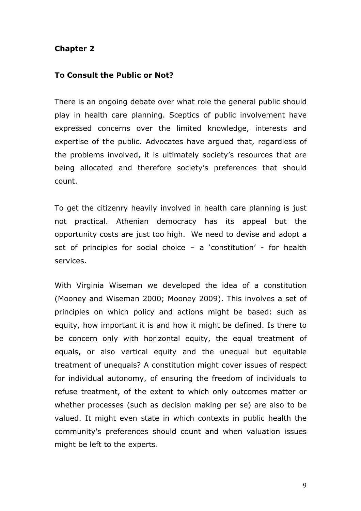#### **Chapter 2**

#### **To Consult the Public or Not?**

There is an ongoing debate over what role the general public should play in health care planning. Sceptics of public involvement have expressed concerns over the limited knowledge, interests and expertise of the public. Advocates have argued that, regardless of the problems involved, it is ultimately society's resources that are being allocated and therefore society's preferences that should count.

To get the citizenry heavily involved in health care planning is just not practical. Athenian democracy has its appeal but the opportunity costs are just too high. We need to devise and adopt a set of principles for social choice  $-$  a 'constitution' - for health services.

With Virginia Wiseman we developed the idea of a constitution (Mooney and Wiseman 2000; Mooney 2009). This involves a set of principles on which policy and actions might be based: such as equity, how important it is and how it might be defined. Is there to be concern only with horizontal equity, the equal treatment of equals, or also vertical equity and the unequal but equitable treatment of unequals? A constitution might cover issues of respect for individual autonomy, of ensuring the freedom of individuals to refuse treatment, of the extent to which only outcomes matter or whether processes (such as decision making per se) are also to be valued. It might even state in which contexts in public health the community's preferences should count and when valuation issues might be left to the experts.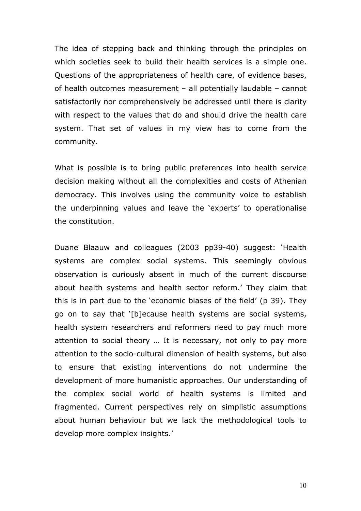The idea of stepping back and thinking through the principles on which societies seek to build their health services is a simple one. Questions of the appropriateness of health care, of evidence bases, of health outcomes measurement – all potentially laudable – cannot satisfactorily nor comprehensively be addressed until there is clarity with respect to the values that do and should drive the health care system. That set of values in my view has to come from the community.

What is possible is to bring public preferences into health service decision making without all the complexities and costs of Athenian democracy. This involves using the community voice to establish the underpinning values and leave the 'experts' to operationalise the constitution.

Duane Blaauw and colleagues (2003 pp39-40) suggest: 'Health systems are complex social systems. This seemingly obvious observation is curiously absent in much of the current discourse about health systems and health sector reform.' They claim that this is in part due to the 'economic biases of the field' (p 39). They go on to say that '[b]ecause health systems are social systems, health system researchers and reformers need to pay much more attention to social theory … It is necessary, not only to pay more attention to the socio-cultural dimension of health systems, but also to ensure that existing interventions do not undermine the development of more humanistic approaches. Our understanding of the complex social world of health systems is limited and fragmented. Current perspectives rely on simplistic assumptions about human behaviour but we lack the methodological tools to develop more complex insights.'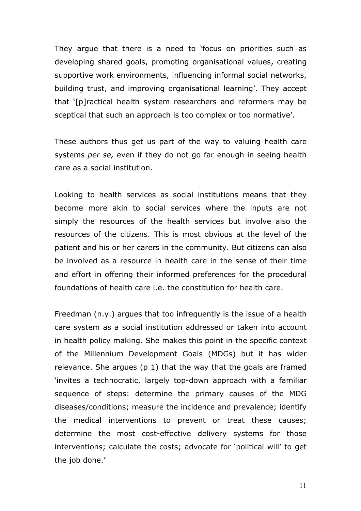They argue that there is a need to 'focus on priorities such as developing shared goals, promoting organisational values, creating supportive work environments, influencing informal social networks, building trust, and improving organisational learning'. They accept that '[p]ractical health system researchers and reformers may be sceptical that such an approach is too complex or too normative'.

These authors thus get us part of the way to valuing health care systems *per se,* even if they do not go far enough in seeing health care as a social institution.

Looking to health services as social institutions means that they become more akin to social services where the inputs are not simply the resources of the health services but involve also the resources of the citizens. This is most obvious at the level of the patient and his or her carers in the community. But citizens can also be involved as a resource in health care in the sense of their time and effort in offering their informed preferences for the procedural foundations of health care i.e. the constitution for health care.

Freedman (n.y.) argues that too infrequently is the issue of a health care system as a social institution addressed or taken into account in health policy making. She makes this point in the specific context of the Millennium Development Goals (MDGs) but it has wider relevance. She argues (p 1) that the way that the goals are framed 'invites a technocratic, largely top-down approach with a familiar sequence of steps: determine the primary causes of the MDG diseases/conditions; measure the incidence and prevalence; identify the medical interventions to prevent or treat these causes; determine the most cost-effective delivery systems for those interventions; calculate the costs; advocate for 'political will' to get the job done.'

11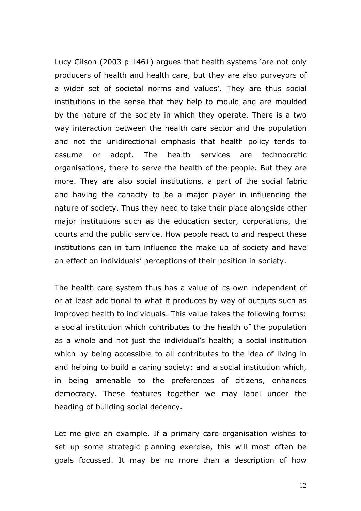Lucy Gilson (2003 p 1461) argues that health systems 'are not only producers of health and health care, but they are also purveyors of a wider set of societal norms and values'. They are thus social institutions in the sense that they help to mould and are moulded by the nature of the society in which they operate. There is a two way interaction between the health care sector and the population and not the unidirectional emphasis that health policy tends to assume or adopt. The health services are technocratic organisations, there to serve the health of the people. But they are more. They are also social institutions, a part of the social fabric and having the capacity to be a major player in influencing the nature of society. Thus they need to take their place alongside other major institutions such as the education sector, corporations, the courts and the public service. How people react to and respect these institutions can in turn influence the make up of society and have an effect on individuals' perceptions of their position in society.

The health care system thus has a value of its own independent of or at least additional to what it produces by way of outputs such as improved health to individuals. This value takes the following forms: a social institution which contributes to the health of the population as a whole and not just the individual's health; a social institution which by being accessible to all contributes to the idea of living in and helping to build a caring society; and a social institution which, in being amenable to the preferences of citizens, enhances democracy. These features together we may label under the heading of building social decency.

Let me give an example. If a primary care organisation wishes to set up some strategic planning exercise, this will most often be goals focussed. It may be no more than a description of how

12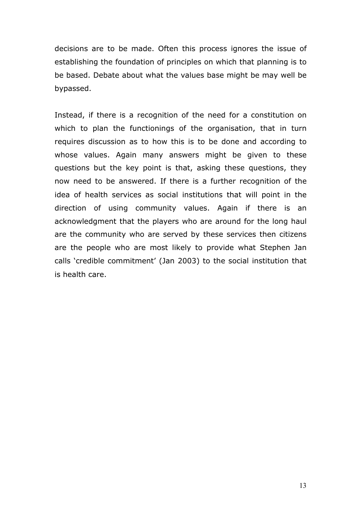decisions are to be made. Often this process ignores the issue of establishing the foundation of principles on which that planning is to be based. Debate about what the values base might be may well be bypassed.

Instead, if there is a recognition of the need for a constitution on which to plan the functionings of the organisation, that in turn requires discussion as to how this is to be done and according to whose values. Again many answers might be given to these questions but the key point is that, asking these questions, they now need to be answered. If there is a further recognition of the idea of health services as social institutions that will point in the direction of using community values. Again if there is an acknowledgment that the players who are around for the long haul are the community who are served by these services then citizens are the people who are most likely to provide what Stephen Jan calls 'credible commitment' (Jan 2003) to the social institution that is health care.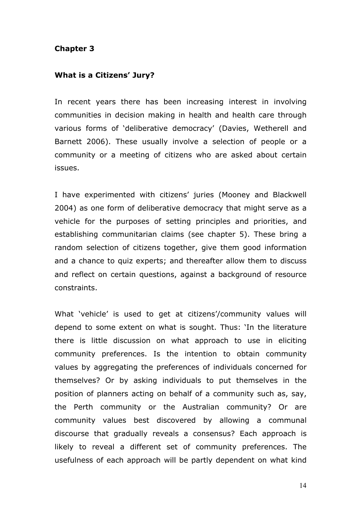#### **Chapter 3**

#### **What is a Citizens' Jury?**

In recent years there has been increasing interest in involving communities in decision making in health and health care through various forms of 'deliberative democracy' (Davies, Wetherell and Barnett 2006). These usually involve a selection of people or a community or a meeting of citizens who are asked about certain issues.

I have experimented with citizens' juries (Mooney and Blackwell 2004) as one form of deliberative democracy that might serve as a vehicle for the purposes of setting principles and priorities, and establishing communitarian claims (see chapter 5). These bring a random selection of citizens together, give them good information and a chance to quiz experts; and thereafter allow them to discuss and reflect on certain questions, against a background of resource constraints.

What 'vehicle' is used to get at citizens'/community values will depend to some extent on what is sought. Thus: 'In the literature there is little discussion on what approach to use in eliciting community preferences. Is the intention to obtain community values by aggregating the preferences of individuals concerned for themselves? Or by asking individuals to put themselves in the position of planners acting on behalf of a community such as, say, the Perth community or the Australian community? Or are community values best discovered by allowing a communal discourse that gradually reveals a consensus? Each approach is likely to reveal a different set of community preferences. The usefulness of each approach will be partly dependent on what kind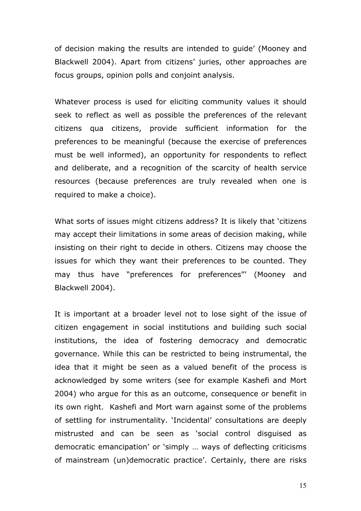of decision making the results are intended to guide' (Mooney and Blackwell 2004). Apart from citizens' juries, other approaches are focus groups, opinion polls and conjoint analysis.

Whatever process is used for eliciting community values it should seek to reflect as well as possible the preferences of the relevant citizens qua citizens, provide sufficient information for the preferences to be meaningful (because the exercise of preferences must be well informed), an opportunity for respondents to reflect and deliberate, and a recognition of the scarcity of health service resources (because preferences are truly revealed when one is required to make a choice).

What sorts of issues might citizens address? It is likely that 'citizens may accept their limitations in some areas of decision making, while insisting on their right to decide in others. Citizens may choose the issues for which they want their preferences to be counted. They may thus have "preferences for preferences"' (Mooney and Blackwell 2004).

It is important at a broader level not to lose sight of the issue of citizen engagement in social institutions and building such social institutions, the idea of fostering democracy and democratic governance. While this can be restricted to being instrumental, the idea that it might be seen as a valued benefit of the process is acknowledged by some writers (see for example Kashefi and Mort 2004) who argue for this as an outcome, consequence or benefit in its own right. Kashefi and Mort warn against some of the problems of settling for instrumentality. 'Incidental' consultations are deeply mistrusted and can be seen as 'social control disguised as democratic emancipation' or 'simply … ways of deflecting criticisms of mainstream (un)democratic practice'. Certainly, there are risks

15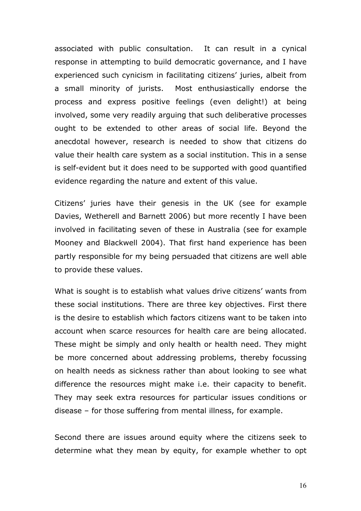associated with public consultation. It can result in a cynical response in attempting to build democratic governance, and I have experienced such cynicism in facilitating citizens' juries, albeit from a small minority of jurists. Most enthusiastically endorse the process and express positive feelings (even delight!) at being involved, some very readily arguing that such deliberative processes ought to be extended to other areas of social life. Beyond the anecdotal however, research is needed to show that citizens do value their health care system as a social institution. This in a sense is self-evident but it does need to be supported with good quantified evidence regarding the nature and extent of this value.

Citizens' juries have their genesis in the UK (see for example Davies, Wetherell and Barnett 2006) but more recently I have been involved in facilitating seven of these in Australia (see for example Mooney and Blackwell 2004). That first hand experience has been partly responsible for my being persuaded that citizens are well able to provide these values.

What is sought is to establish what values drive citizens' wants from these social institutions. There are three key objectives. First there is the desire to establish which factors citizens want to be taken into account when scarce resources for health care are being allocated. These might be simply and only health or health need. They might be more concerned about addressing problems, thereby focussing on health needs as sickness rather than about looking to see what difference the resources might make i.e. their capacity to benefit. They may seek extra resources for particular issues conditions or disease – for those suffering from mental illness, for example.

Second there are issues around equity where the citizens seek to determine what they mean by equity, for example whether to opt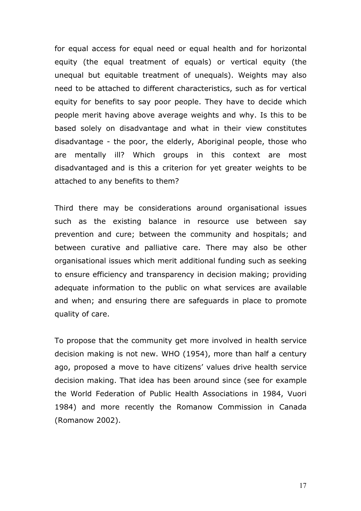for equal access for equal need or equal health and for horizontal equity (the equal treatment of equals) or vertical equity (the unequal but equitable treatment of unequals). Weights may also need to be attached to different characteristics, such as for vertical equity for benefits to say poor people. They have to decide which people merit having above average weights and why. Is this to be based solely on disadvantage and what in their view constitutes disadvantage - the poor, the elderly, Aboriginal people, those who are mentally ill? Which groups in this context are most disadvantaged and is this a criterion for yet greater weights to be attached to any benefits to them?

Third there may be considerations around organisational issues such as the existing balance in resource use between say prevention and cure; between the community and hospitals; and between curative and palliative care. There may also be other organisational issues which merit additional funding such as seeking to ensure efficiency and transparency in decision making; providing adequate information to the public on what services are available and when; and ensuring there are safeguards in place to promote quality of care.

To propose that the community get more involved in health service decision making is not new. WHO (1954), more than half a century ago, proposed a move to have citizens' values drive health service decision making. That idea has been around since (see for example the World Federation of Public Health Associations in 1984, Vuori 1984) and more recently the Romanow Commission in Canada (Romanow 2002).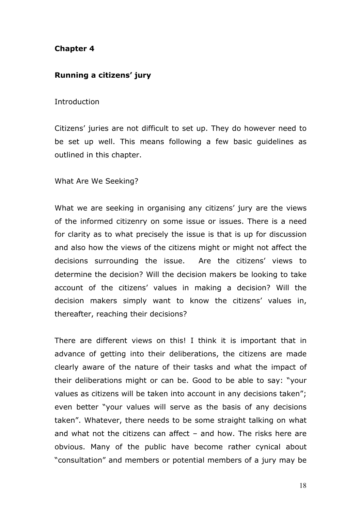## **Chapter 4**

#### **Running a citizens' jury**

#### **Introduction**

Citizens' juries are not difficult to set up. They do however need to be set up well. This means following a few basic guidelines as outlined in this chapter.

#### What Are We Seeking?

What we are seeking in organising any citizens' jury are the views of the informed citizenry on some issue or issues. There is a need for clarity as to what precisely the issue is that is up for discussion and also how the views of the citizens might or might not affect the decisions surrounding the issue. Are the citizens' views to determine the decision? Will the decision makers be looking to take account of the citizens' values in making a decision? Will the decision makers simply want to know the citizens' values in, thereafter, reaching their decisions?

There are different views on this! I think it is important that in advance of getting into their deliberations, the citizens are made clearly aware of the nature of their tasks and what the impact of their deliberations might or can be. Good to be able to say: "your values as citizens will be taken into account in any decisions taken"; even better "your values will serve as the basis of any decisions taken". Whatever, there needs to be some straight talking on what and what not the citizens can affect – and how. The risks here are obvious. Many of the public have become rather cynical about "consultation" and members or potential members of a jury may be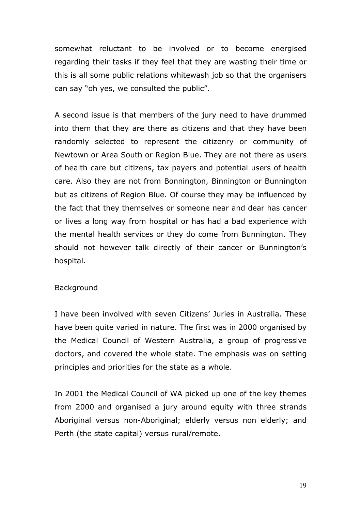somewhat reluctant to be involved or to become energised regarding their tasks if they feel that they are wasting their time or this is all some public relations whitewash job so that the organisers can say "oh yes, we consulted the public".

A second issue is that members of the jury need to have drummed into them that they are there as citizens and that they have been randomly selected to represent the citizenry or community of Newtown or Area South or Region Blue. They are not there as users of health care but citizens, tax payers and potential users of health care. Also they are not from Bonnington, Binnington or Bunnington but as citizens of Region Blue. Of course they may be influenced by the fact that they themselves or someone near and dear has cancer or lives a long way from hospital or has had a bad experience with the mental health services or they do come from Bunnington. They should not however talk directly of their cancer or Bunnington's hospital.

#### Background

I have been involved with seven Citizens' Juries in Australia. These have been quite varied in nature. The first was in 2000 organised by the Medical Council of Western Australia, a group of progressive doctors, and covered the whole state. The emphasis was on setting principles and priorities for the state as a whole.

In 2001 the Medical Council of WA picked up one of the key themes from 2000 and organised a jury around equity with three strands Aboriginal versus non-Aboriginal; elderly versus non elderly; and Perth (the state capital) versus rural/remote.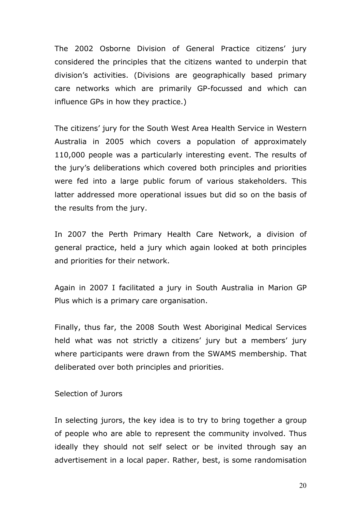The 2002 Osborne Division of General Practice citizens' jury considered the principles that the citizens wanted to underpin that division's activities. (Divisions are geographically based primary care networks which are primarily GP-focussed and which can influence GPs in how they practice.)

The citizens' jury for the South West Area Health Service in Western Australia in 2005 which covers a population of approximately 110,000 people was a particularly interesting event. The results of the jury's deliberations which covered both principles and priorities were fed into a large public forum of various stakeholders. This latter addressed more operational issues but did so on the basis of the results from the jury.

In 2007 the Perth Primary Health Care Network, a division of general practice, held a jury which again looked at both principles and priorities for their network.

Again in 2007 I facilitated a jury in South Australia in Marion GP Plus which is a primary care organisation.

Finally, thus far, the 2008 South West Aboriginal Medical Services held what was not strictly a citizens' jury but a members' jury where participants were drawn from the SWAMS membership. That deliberated over both principles and priorities.

Selection of Jurors

In selecting jurors, the key idea is to try to bring together a group of people who are able to represent the community involved. Thus ideally they should not self select or be invited through say an advertisement in a local paper. Rather, best, is some randomisation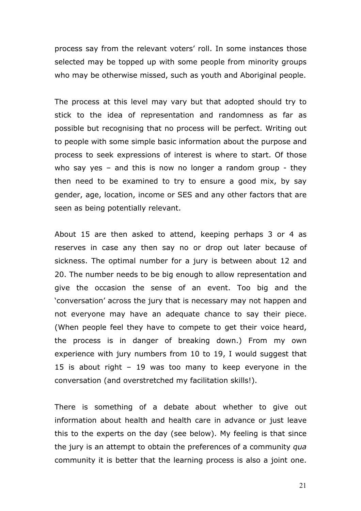process say from the relevant voters' roll. In some instances those selected may be topped up with some people from minority groups who may be otherwise missed, such as youth and Aboriginal people.

The process at this level may vary but that adopted should try to stick to the idea of representation and randomness as far as possible but recognising that no process will be perfect. Writing out to people with some simple basic information about the purpose and process to seek expressions of interest is where to start. Of those who say yes – and this is now no longer a random group - they then need to be examined to try to ensure a good mix, by say gender, age, location, income or SES and any other factors that are seen as being potentially relevant.

About 15 are then asked to attend, keeping perhaps 3 or 4 as reserves in case any then say no or drop out later because of sickness. The optimal number for a jury is between about 12 and 20. The number needs to be big enough to allow representation and give the occasion the sense of an event. Too big and the 'conversation' across the jury that is necessary may not happen and not everyone may have an adequate chance to say their piece. (When people feel they have to compete to get their voice heard, the process is in danger of breaking down.) From my own experience with jury numbers from 10 to 19, I would suggest that 15 is about right – 19 was too many to keep everyone in the conversation (and overstretched my facilitation skills!).

There is something of a debate about whether to give out information about health and health care in advance or just leave this to the experts on the day (see below). My feeling is that since the jury is an attempt to obtain the preferences of a community *qua*  community it is better that the learning process is also a joint one.

21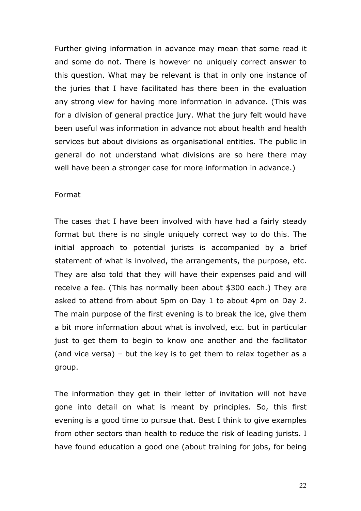Further giving information in advance may mean that some read it and some do not. There is however no uniquely correct answer to this question. What may be relevant is that in only one instance of the juries that I have facilitated has there been in the evaluation any strong view for having more information in advance. (This was for a division of general practice jury. What the jury felt would have been useful was information in advance not about health and health services but about divisions as organisational entities. The public in general do not understand what divisions are so here there may well have been a stronger case for more information in advance.)

#### Format

The cases that I have been involved with have had a fairly steady format but there is no single uniquely correct way to do this. The initial approach to potential jurists is accompanied by a brief statement of what is involved, the arrangements, the purpose, etc. They are also told that they will have their expenses paid and will receive a fee. (This has normally been about \$300 each.) They are asked to attend from about 5pm on Day 1 to about 4pm on Day 2. The main purpose of the first evening is to break the ice, give them a bit more information about what is involved, etc. but in particular just to get them to begin to know one another and the facilitator (and vice versa) – but the key is to get them to relax together as a group.

The information they get in their letter of invitation will not have gone into detail on what is meant by principles. So, this first evening is a good time to pursue that. Best I think to give examples from other sectors than health to reduce the risk of leading jurists. I have found education a good one (about training for jobs, for being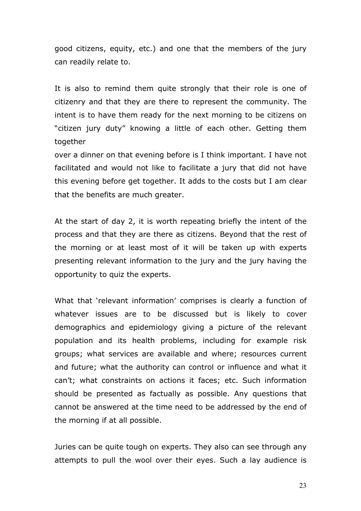good citizens, equity, etc.) and one that the members of the jury can readily relate to.

It is also to remind them quite strongly that their role is one of citizenry and that they are there to represent the community. The intent is to have them ready for the next morning to be citizens on "citizen jury duty" knowing a little of each other. Getting them together

over a dinner on that evening before is I think important. I have not facilitated and would not like to facilitate a jury that did not have this evening before get together. It adds to the costs but I am clear that the benefits are much greater.

At the start of day 2, it is worth repeating briefly the intent of the process and that they are there as citizens. Beyond that the rest of the morning or at least most of it will be taken up with experts presenting relevant information to the jury and the jury having the opportunity to quiz the experts.

What that 'relevant information' comprises is clearly a function of whatever issues are to be discussed but is likely to cover demographics and epidemiology giving a picture of the relevant population and its health problems, including for example risk groups; what services are available and where; resources current and future; what the authority can control or influence and what it can't; what constraints on actions it faces; etc. Such information should be presented as factually as possible. Any questions that cannot be answered at the time need to be addressed by the end of the morning if at all possible.

Juries can be quite tough on experts. They also can see through any attempts to pull the wool over their eyes. Such a lay audience is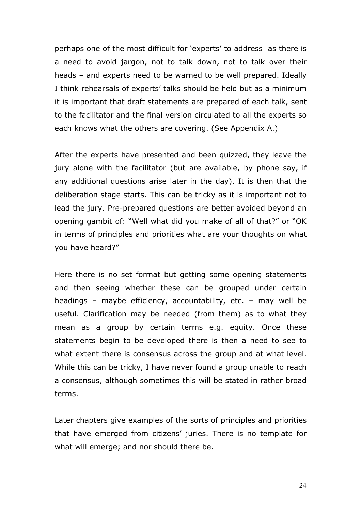perhaps one of the most difficult for 'experts' to address as there is a need to avoid jargon, not to talk down, not to talk over their heads – and experts need to be warned to be well prepared. Ideally I think rehearsals of experts' talks should be held but as a minimum it is important that draft statements are prepared of each talk, sent to the facilitator and the final version circulated to all the experts so each knows what the others are covering. (See Appendix A.)

After the experts have presented and been quizzed, they leave the jury alone with the facilitator (but are available, by phone say, if any additional questions arise later in the day). It is then that the deliberation stage starts. This can be tricky as it is important not to lead the jury. Pre-prepared questions are better avoided beyond an opening gambit of: "Well what did you make of all of that?" or "OK in terms of principles and priorities what are your thoughts on what you have heard?"

Here there is no set format but getting some opening statements and then seeing whether these can be grouped under certain headings – maybe efficiency, accountability, etc. – may well be useful. Clarification may be needed (from them) as to what they mean as a group by certain terms e.g. equity. Once these statements begin to be developed there is then a need to see to what extent there is consensus across the group and at what level. While this can be tricky, I have never found a group unable to reach a consensus, although sometimes this will be stated in rather broad terms.

Later chapters give examples of the sorts of principles and priorities that have emerged from citizens' juries. There is no template for what will emerge; and nor should there be.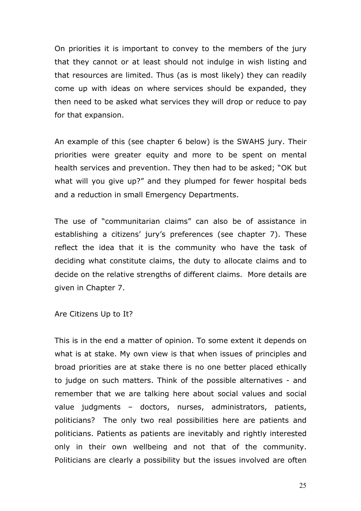On priorities it is important to convey to the members of the jury that they cannot or at least should not indulge in wish listing and that resources are limited. Thus (as is most likely) they can readily come up with ideas on where services should be expanded, they then need to be asked what services they will drop or reduce to pay for that expansion.

An example of this (see chapter 6 below) is the SWAHS jury. Their priorities were greater equity and more to be spent on mental health services and prevention. They then had to be asked; "OK but what will you give up?" and they plumped for fewer hospital beds and a reduction in small Emergency Departments.

The use of "communitarian claims" can also be of assistance in establishing a citizens' jury's preferences (see chapter 7). These reflect the idea that it is the community who have the task of deciding what constitute claims, the duty to allocate claims and to decide on the relative strengths of different claims. More details are given in Chapter 7.

Are Citizens Up to It?

This is in the end a matter of opinion. To some extent it depends on what is at stake. My own view is that when issues of principles and broad priorities are at stake there is no one better placed ethically to judge on such matters. Think of the possible alternatives - and remember that we are talking here about social values and social value judgments – doctors, nurses, administrators, patients, politicians? The only two real possibilities here are patients and politicians. Patients as patients are inevitably and rightly interested only in their own wellbeing and not that of the community. Politicians are clearly a possibility but the issues involved are often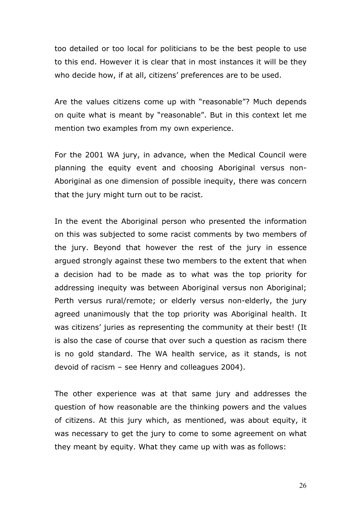too detailed or too local for politicians to be the best people to use to this end. However it is clear that in most instances it will be they who decide how, if at all, citizens' preferences are to be used.

Are the values citizens come up with "reasonable"? Much depends on quite what is meant by "reasonable". But in this context let me mention two examples from my own experience.

For the 2001 WA jury, in advance, when the Medical Council were planning the equity event and choosing Aboriginal versus non-Aboriginal as one dimension of possible inequity, there was concern that the jury might turn out to be racist.

In the event the Aboriginal person who presented the information on this was subjected to some racist comments by two members of the jury. Beyond that however the rest of the jury in essence argued strongly against these two members to the extent that when a decision had to be made as to what was the top priority for addressing inequity was between Aboriginal versus non Aboriginal; Perth versus rural/remote; or elderly versus non-elderly, the jury agreed unanimously that the top priority was Aboriginal health. It was citizens' juries as representing the community at their best! (It is also the case of course that over such a question as racism there is no gold standard. The WA health service, as it stands, is not devoid of racism – see Henry and colleagues 2004).

The other experience was at that same jury and addresses the question of how reasonable are the thinking powers and the values of citizens. At this jury which, as mentioned, was about equity, it was necessary to get the jury to come to some agreement on what they meant by equity. What they came up with was as follows:

26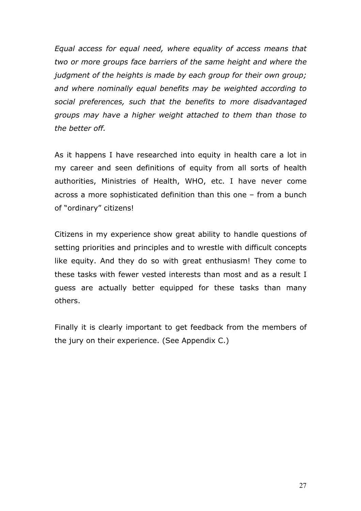*Equal access for equal need, where equality of access means that two or more groups face barriers of the same height and where the judgment of the heights is made by each group for their own group; and where nominally equal benefits may be weighted according to social preferences, such that the benefits to more disadvantaged groups may have a higher weight attached to them than those to the better off.*

As it happens I have researched into equity in health care a lot in my career and seen definitions of equity from all sorts of health authorities, Ministries of Health, WHO, etc. I have never come across a more sophisticated definition than this one – from a bunch of "ordinary" citizens!

Citizens in my experience show great ability to handle questions of setting priorities and principles and to wrestle with difficult concepts like equity. And they do so with great enthusiasm! They come to these tasks with fewer vested interests than most and as a result I guess are actually better equipped for these tasks than many others.

Finally it is clearly important to get feedback from the members of the jury on their experience. (See Appendix C.)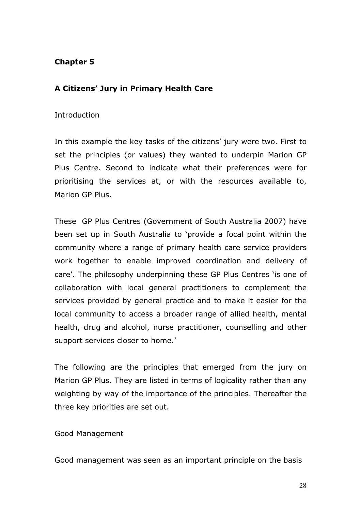## **Chapter 5**

## **A Citizens' Jury in Primary Health Care**

#### Introduction

In this example the key tasks of the citizens' jury were two. First to set the principles (or values) they wanted to underpin Marion GP Plus Centre. Second to indicate what their preferences were for prioritising the services at, or with the resources available to, Marion GP Plus.

These GP Plus Centres (Government of South Australia 2007) have been set up in South Australia to 'provide a focal point within the community where a range of primary health care service providers work together to enable improved coordination and delivery of care'. The philosophy underpinning these GP Plus Centres 'is one of collaboration with local general practitioners to complement the services provided by general practice and to make it easier for the local community to access a broader range of allied health, mental health, drug and alcohol, nurse practitioner, counselling and other support services closer to home.'

The following are the principles that emerged from the jury on Marion GP Plus. They are listed in terms of logicality rather than any weighting by way of the importance of the principles. Thereafter the three key priorities are set out.

Good Management

Good management was seen as an important principle on the basis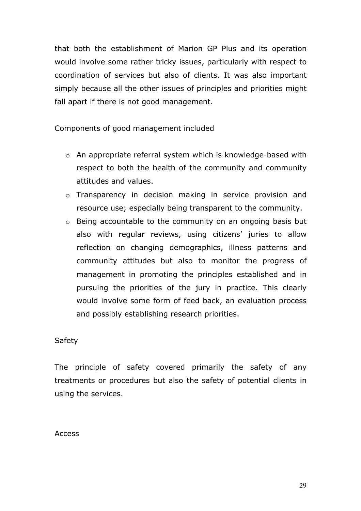that both the establishment of Marion GP Plus and its operation would involve some rather tricky issues, particularly with respect to coordination of services but also of clients. It was also important simply because all the other issues of principles and priorities might fall apart if there is not good management.

Components of good management included

- o An appropriate referral system which is knowledge-based with respect to both the health of the community and community attitudes and values.
- o Transparency in decision making in service provision and resource use; especially being transparent to the community.
- o Being accountable to the community on an ongoing basis but also with regular reviews, using citizens' juries to allow reflection on changing demographics, illness patterns and community attitudes but also to monitor the progress of management in promoting the principles established and in pursuing the priorities of the jury in practice. This clearly would involve some form of feed back, an evaluation process and possibly establishing research priorities.

#### Safety

The principle of safety covered primarily the safety of any treatments or procedures but also the safety of potential clients in using the services.

Access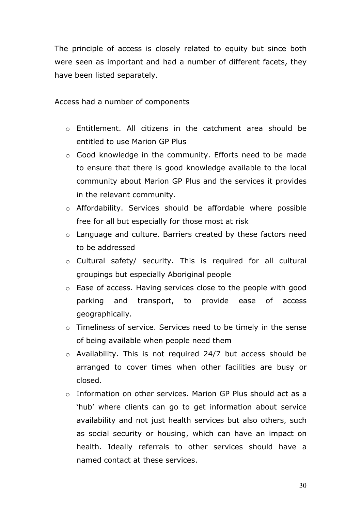The principle of access is closely related to equity but since both were seen as important and had a number of different facets, they have been listed separately.

Access had a number of components

- o Entitlement. All citizens in the catchment area should be entitled to use Marion GP Plus
- o Good knowledge in the community. Efforts need to be made to ensure that there is good knowledge available to the local community about Marion GP Plus and the services it provides in the relevant community.
- o Affordability. Services should be affordable where possible free for all but especially for those most at risk
- o Language and culture. Barriers created by these factors need to be addressed
- o Cultural safety/ security. This is required for all cultural groupings but especially Aboriginal people
- o Ease of access. Having services close to the people with good parking and transport, to provide ease of access geographically.
- o Timeliness of service. Services need to be timely in the sense of being available when people need them
- o Availability. This is not required 24/7 but access should be arranged to cover times when other facilities are busy or closed.
- o Information on other services. Marion GP Plus should act as a 'hub' where clients can go to get information about service availability and not just health services but also others, such as social security or housing, which can have an impact on health. Ideally referrals to other services should have a named contact at these services.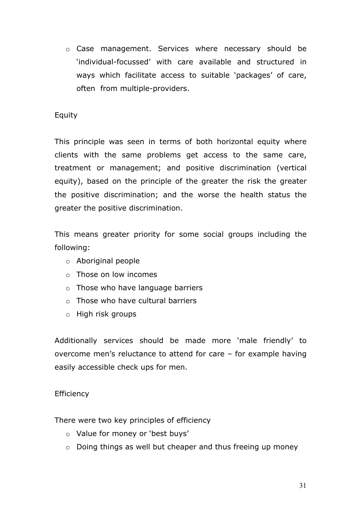o Case management. Services where necessary should be 'individual-focussed' with care available and structured in ways which facilitate access to suitable 'packages' of care, often from multiple-providers.

## Equity

This principle was seen in terms of both horizontal equity where clients with the same problems get access to the same care, treatment or management; and positive discrimination (vertical equity), based on the principle of the greater the risk the greater the positive discrimination; and the worse the health status the greater the positive discrimination.

This means greater priority for some social groups including the following:

- o Aboriginal people
- o Those on low incomes
- o Those who have language barriers
- o Those who have cultural barriers
- o High risk groups

Additionally services should be made more 'male friendly' to overcome men's reluctance to attend for care – for example having easily accessible check ups for men.

#### **Efficiency**

There were two key principles of efficiency

- o Value for money or 'best buys'
- o Doing things as well but cheaper and thus freeing up money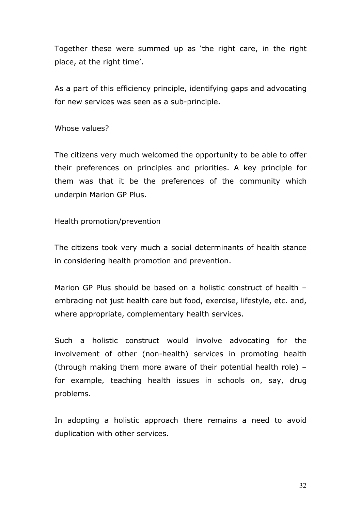Together these were summed up as 'the right care, in the right place, at the right time'.

As a part of this efficiency principle, identifying gaps and advocating for new services was seen as a sub-principle.

Whose values?

The citizens very much welcomed the opportunity to be able to offer their preferences on principles and priorities. A key principle for them was that it be the preferences of the community which underpin Marion GP Plus.

Health promotion/prevention

The citizens took very much a social determinants of health stance in considering health promotion and prevention.

Marion GP Plus should be based on a holistic construct of health – embracing not just health care but food, exercise, lifestyle, etc. and, where appropriate, complementary health services.

Such a holistic construct would involve advocating for the involvement of other (non-health) services in promoting health (through making them more aware of their potential health role) – for example, teaching health issues in schools on, say, drug problems.

In adopting a holistic approach there remains a need to avoid duplication with other services.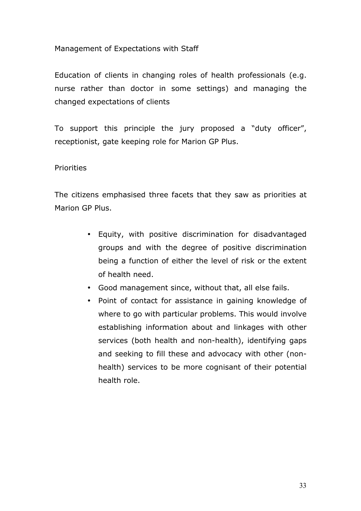## Management of Expectations with Staff

Education of clients in changing roles of health professionals (e.g. nurse rather than doctor in some settings) and managing the changed expectations of clients

To support this principle the jury proposed a "duty officer", receptionist, gate keeping role for Marion GP Plus.

## Priorities

The citizens emphasised three facets that they saw as priorities at Marion GP Plus.

- Equity, with positive discrimination for disadvantaged groups and with the degree of positive discrimination being a function of either the level of risk or the extent of health need.
- Good management since, without that, all else fails.
- Point of contact for assistance in gaining knowledge of where to go with particular problems. This would involve establishing information about and linkages with other services (both health and non-health), identifying gaps and seeking to fill these and advocacy with other (nonhealth) services to be more cognisant of their potential health role.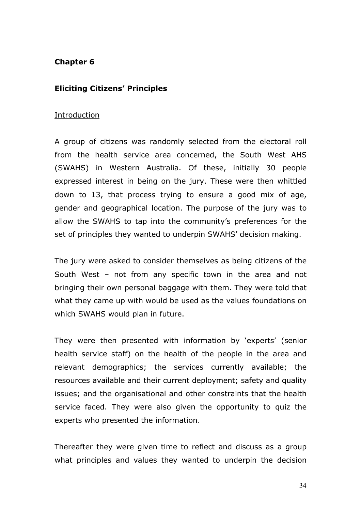#### **Chapter 6**

#### **Eliciting Citizens' Principles**

#### Introduction

A group of citizens was randomly selected from the electoral roll from the health service area concerned, the South West AHS (SWAHS) in Western Australia. Of these, initially 30 people expressed interest in being on the jury. These were then whittled down to 13, that process trying to ensure a good mix of age, gender and geographical location. The purpose of the jury was to allow the SWAHS to tap into the community's preferences for the set of principles they wanted to underpin SWAHS' decision making.

The jury were asked to consider themselves as being citizens of the South West – not from any specific town in the area and not bringing their own personal baggage with them. They were told that what they came up with would be used as the values foundations on which SWAHS would plan in future.

They were then presented with information by 'experts' (senior health service staff) on the health of the people in the area and relevant demographics; the services currently available; the resources available and their current deployment; safety and quality issues; and the organisational and other constraints that the health service faced. They were also given the opportunity to quiz the experts who presented the information.

Thereafter they were given time to reflect and discuss as a group what principles and values they wanted to underpin the decision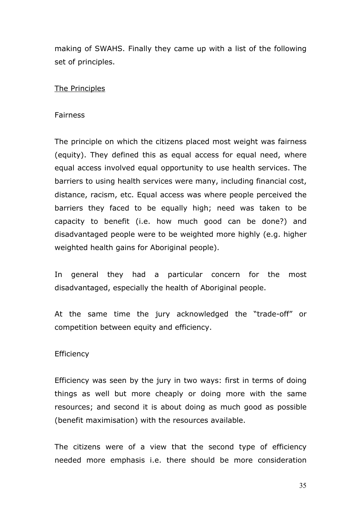making of SWAHS. Finally they came up with a list of the following set of principles.

## The Principles

#### Fairness

The principle on which the citizens placed most weight was fairness (equity). They defined this as equal access for equal need, where equal access involved equal opportunity to use health services. The barriers to using health services were many, including financial cost, distance, racism, etc. Equal access was where people perceived the barriers they faced to be equally high; need was taken to be capacity to benefit (i.e. how much good can be done?) and disadvantaged people were to be weighted more highly (e.g. higher weighted health gains for Aboriginal people).

In general they had a particular concern for the most disadvantaged, especially the health of Aboriginal people.

At the same time the jury acknowledged the "trade-off" or competition between equity and efficiency.

#### **Efficiency**

Efficiency was seen by the jury in two ways: first in terms of doing things as well but more cheaply or doing more with the same resources; and second it is about doing as much good as possible (benefit maximisation) with the resources available.

The citizens were of a view that the second type of efficiency needed more emphasis i.e. there should be more consideration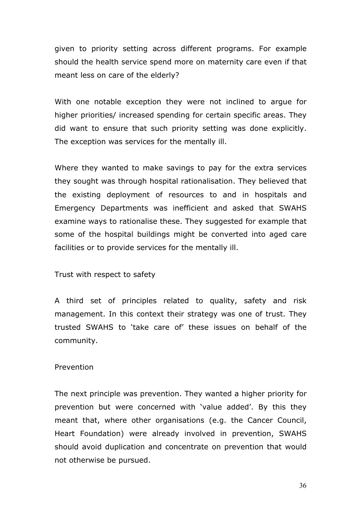given to priority setting across different programs. For example should the health service spend more on maternity care even if that meant less on care of the elderly?

With one notable exception they were not inclined to argue for higher priorities/ increased spending for certain specific areas. They did want to ensure that such priority setting was done explicitly. The exception was services for the mentally ill.

Where they wanted to make savings to pay for the extra services they sought was through hospital rationalisation. They believed that the existing deployment of resources to and in hospitals and Emergency Departments was inefficient and asked that SWAHS examine ways to rationalise these. They suggested for example that some of the hospital buildings might be converted into aged care facilities or to provide services for the mentally ill.

Trust with respect to safety

A third set of principles related to quality, safety and risk management. In this context their strategy was one of trust. They trusted SWAHS to 'take care of' these issues on behalf of the community.

#### Prevention

The next principle was prevention. They wanted a higher priority for prevention but were concerned with 'value added'. By this they meant that, where other organisations (e.g. the Cancer Council, Heart Foundation) were already involved in prevention, SWAHS should avoid duplication and concentrate on prevention that would not otherwise be pursued.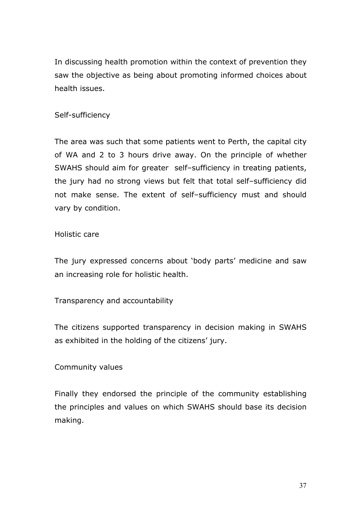In discussing health promotion within the context of prevention they saw the objective as being about promoting informed choices about health issues.

## Self-sufficiency

The area was such that some patients went to Perth, the capital city of WA and 2 to 3 hours drive away. On the principle of whether SWAHS should aim for greater self–sufficiency in treating patients, the jury had no strong views but felt that total self–sufficiency did not make sense. The extent of self–sufficiency must and should vary by condition.

#### Holistic care

The jury expressed concerns about 'body parts' medicine and saw an increasing role for holistic health.

#### Transparency and accountability

The citizens supported transparency in decision making in SWAHS as exhibited in the holding of the citizens' jury.

#### Community values

Finally they endorsed the principle of the community establishing the principles and values on which SWAHS should base its decision making.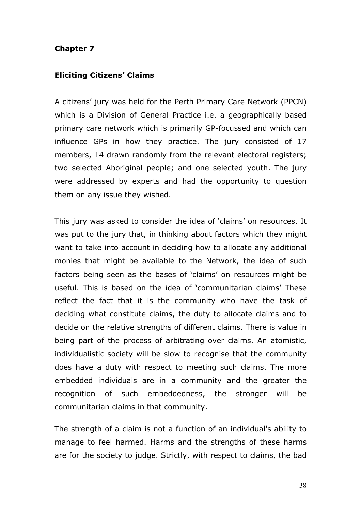#### **Chapter 7**

#### **Eliciting Citizens' Claims**

A citizens' jury was held for the Perth Primary Care Network (PPCN) which is a Division of General Practice i.e. a geographically based primary care network which is primarily GP-focussed and which can influence GPs in how they practice. The jury consisted of 17 members, 14 drawn randomly from the relevant electoral registers; two selected Aboriginal people; and one selected youth. The jury were addressed by experts and had the opportunity to question them on any issue they wished.

This jury was asked to consider the idea of 'claims' on resources. It was put to the jury that, in thinking about factors which they might want to take into account in deciding how to allocate any additional monies that might be available to the Network, the idea of such factors being seen as the bases of 'claims' on resources might be useful. This is based on the idea of 'communitarian claims' These reflect the fact that it is the community who have the task of deciding what constitute claims, the duty to allocate claims and to decide on the relative strengths of different claims. There is value in being part of the process of arbitrating over claims. An atomistic, individualistic society will be slow to recognise that the community does have a duty with respect to meeting such claims. The more embedded individuals are in a community and the greater the recognition of such embeddedness, the stronger will be communitarian claims in that community.

The strength of a claim is not a function of an individual's ability to manage to feel harmed. Harms and the strengths of these harms are for the society to judge. Strictly, with respect to claims, the bad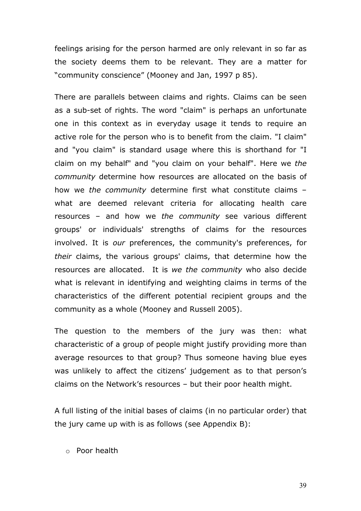feelings arising for the person harmed are only relevant in so far as the society deems them to be relevant. They are a matter for "community conscience" (Mooney and Jan, 1997 p 85).

There are parallels between claims and rights. Claims can be seen as a sub-set of rights. The word "claim" is perhaps an unfortunate one in this context as in everyday usage it tends to require an active role for the person who is to benefit from the claim. "I claim" and "you claim" is standard usage where this is shorthand for "I claim on my behalf" and "you claim on your behalf". Here we *the community* determine how resources are allocated on the basis of how we *the community* determine first what constitute claims – what are deemed relevant criteria for allocating health care resources – and how we *the community* see various different groups' or individuals' strengths of claims for the resources involved. It is *our* preferences, the community's preferences, for *their* claims, the various groups' claims, that determine how the resources are allocated. It is *we the community* who also decide what is relevant in identifying and weighting claims in terms of the characteristics of the different potential recipient groups and the community as a whole (Mooney and Russell 2005).

The question to the members of the jury was then: what characteristic of a group of people might justify providing more than average resources to that group? Thus someone having blue eyes was unlikely to affect the citizens' judgement as to that person's claims on the Network's resources – but their poor health might.

A full listing of the initial bases of claims (in no particular order) that the jury came up with is as follows (see Appendix B):

o Poor health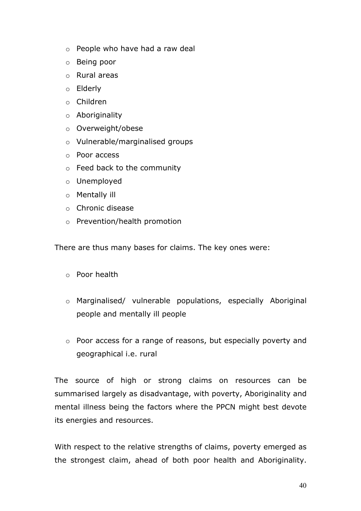- o People who have had a raw deal
- o Being poor
- o Rural areas
- o Elderly
- o Children
- o Aboriginality
- o Overweight/obese
- o Vulnerable/marginalised groups
- o Poor access
- o Feed back to the community
- o Unemployed
- o Mentally ill
- o Chronic disease
- o Prevention/health promotion

There are thus many bases for claims. The key ones were:

- o Poor health
- o Marginalised/ vulnerable populations, especially Aboriginal people and mentally ill people
- o Poor access for a range of reasons, but especially poverty and geographical i.e. rural

The source of high or strong claims on resources can be summarised largely as disadvantage, with poverty, Aboriginality and mental illness being the factors where the PPCN might best devote its energies and resources.

With respect to the relative strengths of claims, poverty emerged as the strongest claim, ahead of both poor health and Aboriginality.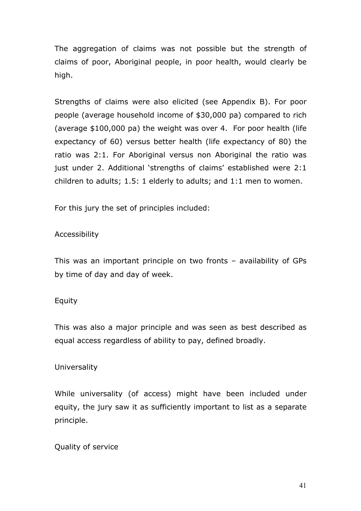The aggregation of claims was not possible but the strength of claims of poor, Aboriginal people, in poor health, would clearly be high.

Strengths of claims were also elicited (see Appendix B). For poor people (average household income of \$30,000 pa) compared to rich (average \$100,000 pa) the weight was over 4. For poor health (life expectancy of 60) versus better health (life expectancy of 80) the ratio was 2:1. For Aboriginal versus non Aboriginal the ratio was just under 2. Additional 'strengths of claims' established were 2:1 children to adults; 1.5: 1 elderly to adults; and 1:1 men to women.

For this jury the set of principles included:

## Accessibility

This was an important principle on two fronts – availability of GPs by time of day and day of week.

#### Equity

This was also a major principle and was seen as best described as equal access regardless of ability to pay, defined broadly.

#### Universality

While universality (of access) might have been included under equity, the jury saw it as sufficiently important to list as a separate principle.

#### Quality of service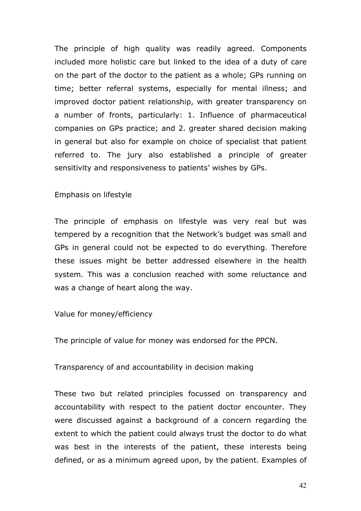The principle of high quality was readily agreed. Components included more holistic care but linked to the idea of a duty of care on the part of the doctor to the patient as a whole; GPs running on time; better referral systems, especially for mental illness; and improved doctor patient relationship, with greater transparency on a number of fronts, particularly: 1. Influence of pharmaceutical companies on GPs practice; and 2. greater shared decision making in general but also for example on choice of specialist that patient referred to. The jury also established a principle of greater sensitivity and responsiveness to patients' wishes by GPs.

#### Emphasis on lifestyle

The principle of emphasis on lifestyle was very real but was tempered by a recognition that the Network's budget was small and GPs in general could not be expected to do everything. Therefore these issues might be better addressed elsewhere in the health system. This was a conclusion reached with some reluctance and was a change of heart along the way.

#### Value for money/efficiency

The principle of value for money was endorsed for the PPCN.

Transparency of and accountability in decision making

These two but related principles focussed on transparency and accountability with respect to the patient doctor encounter. They were discussed against a background of a concern regarding the extent to which the patient could always trust the doctor to do what was best in the interests of the patient, these interests being defined, or as a minimum agreed upon, by the patient. Examples of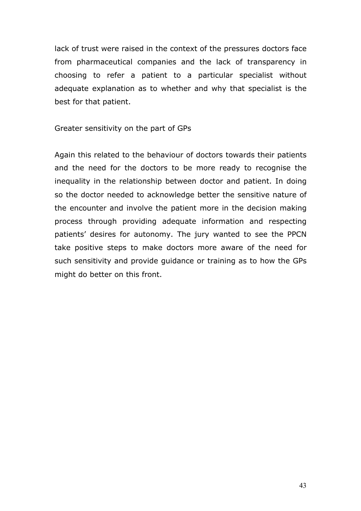lack of trust were raised in the context of the pressures doctors face from pharmaceutical companies and the lack of transparency in choosing to refer a patient to a particular specialist without adequate explanation as to whether and why that specialist is the best for that patient.

Greater sensitivity on the part of GPs

Again this related to the behaviour of doctors towards their patients and the need for the doctors to be more ready to recognise the inequality in the relationship between doctor and patient. In doing so the doctor needed to acknowledge better the sensitive nature of the encounter and involve the patient more in the decision making process through providing adequate information and respecting patients' desires for autonomy. The jury wanted to see the PPCN take positive steps to make doctors more aware of the need for such sensitivity and provide guidance or training as to how the GPs might do better on this front.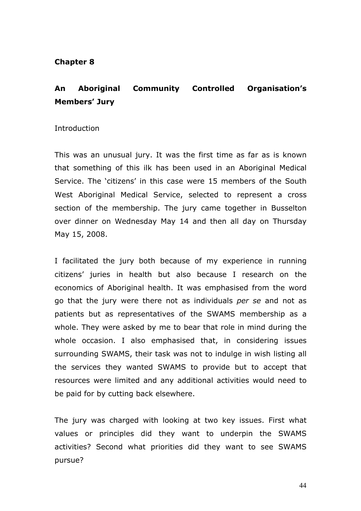#### **Chapter 8**

## **An Aboriginal Community Controlled Organisation's Members' Jury**

#### **Introduction**

This was an unusual jury. It was the first time as far as is known that something of this ilk has been used in an Aboriginal Medical Service. The 'citizens' in this case were 15 members of the South West Aboriginal Medical Service, selected to represent a cross section of the membership. The jury came together in Busselton over dinner on Wednesday May 14 and then all day on Thursday May 15, 2008.

I facilitated the jury both because of my experience in running citizens' juries in health but also because I research on the economics of Aboriginal health. It was emphasised from the word go that the jury were there not as individuals *per se* and not as patients but as representatives of the SWAMS membership as a whole. They were asked by me to bear that role in mind during the whole occasion. I also emphasised that, in considering issues surrounding SWAMS, their task was not to indulge in wish listing all the services they wanted SWAMS to provide but to accept that resources were limited and any additional activities would need to be paid for by cutting back elsewhere.

The jury was charged with looking at two key issues. First what values or principles did they want to underpin the SWAMS activities? Second what priorities did they want to see SWAMS pursue?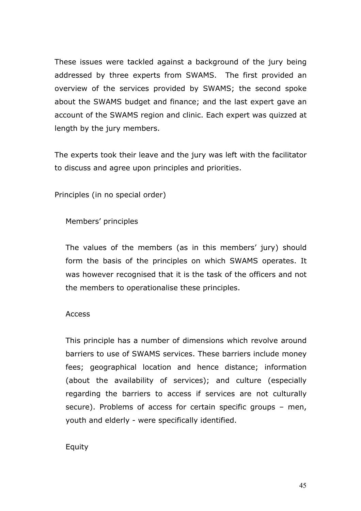These issues were tackled against a background of the jury being addressed by three experts from SWAMS. The first provided an overview of the services provided by SWAMS; the second spoke about the SWAMS budget and finance; and the last expert gave an account of the SWAMS region and clinic. Each expert was quizzed at length by the jury members.

The experts took their leave and the jury was left with the facilitator to discuss and agree upon principles and priorities.

Principles (in no special order)

Members' principles

The values of the members (as in this members' jury) should form the basis of the principles on which SWAMS operates. It was however recognised that it is the task of the officers and not the members to operationalise these principles.

#### Access

This principle has a number of dimensions which revolve around barriers to use of SWAMS services. These barriers include money fees; geographical location and hence distance; information (about the availability of services); and culture (especially regarding the barriers to access if services are not culturally secure). Problems of access for certain specific groups – men, youth and elderly - were specifically identified.

## Equity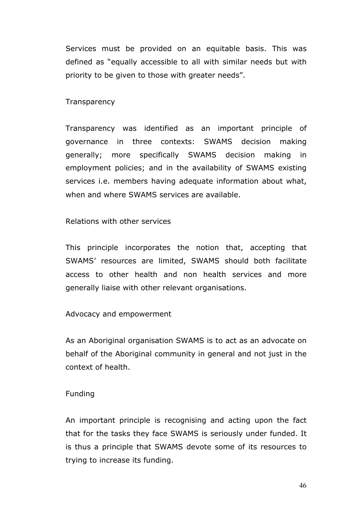Services must be provided on an equitable basis. This was defined as "equally accessible to all with similar needs but with priority to be given to those with greater needs".

**Transparency** 

Transparency was identified as an important principle of governance in three contexts: SWAMS decision making generally; more specifically SWAMS decision making in employment policies; and in the availability of SWAMS existing services i.e. members having adequate information about what, when and where SWAMS services are available.

#### Relations with other services

This principle incorporates the notion that, accepting that SWAMS' resources are limited, SWAMS should both facilitate access to other health and non health services and more generally liaise with other relevant organisations.

#### Advocacy and empowerment

As an Aboriginal organisation SWAMS is to act as an advocate on behalf of the Aboriginal community in general and not just in the context of health.

#### Funding

An important principle is recognising and acting upon the fact that for the tasks they face SWAMS is seriously under funded. It is thus a principle that SWAMS devote some of its resources to trying to increase its funding.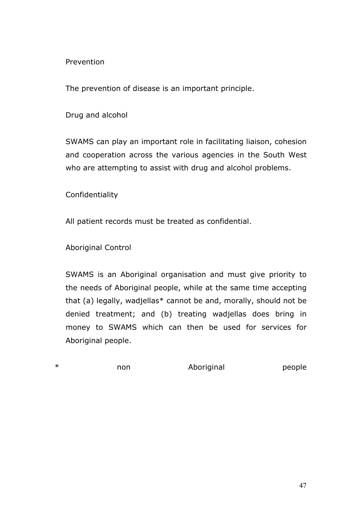Prevention

The prevention of disease is an important principle.

Drug and alcohol

SWAMS can play an important role in facilitating liaison, cohesion and cooperation across the various agencies in the South West who are attempting to assist with drug and alcohol problems.

Confidentiality

All patient records must be treated as confidential.

Aboriginal Control

SWAMS is an Aboriginal organisation and must give priority to the needs of Aboriginal people, while at the same time accepting that (a) legally, wadjellas\* cannot be and, morally, should not be denied treatment; and (b) treating wadjellas does bring in money to SWAMS which can then be used for services for Aboriginal people.

\* The non aboriginal people and a series are non aboriginal people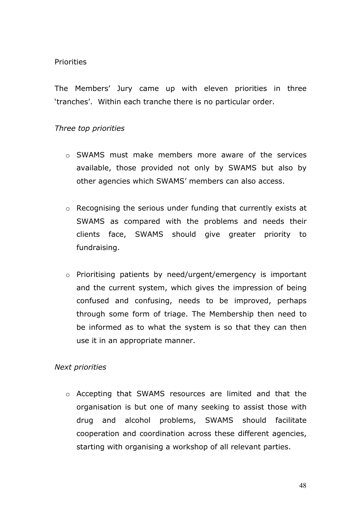#### Priorities

The Members' Jury came up with eleven priorities in three 'tranches'. Within each tranche there is no particular order.

## *Three top priorities*

- o SWAMS must make members more aware of the services available, those provided not only by SWAMS but also by other agencies which SWAMS' members can also access.
- o Recognising the serious under funding that currently exists at SWAMS as compared with the problems and needs their clients face, SWAMS should give greater priority to fundraising.
- o Prioritising patients by need/urgent/emergency is important and the current system, which gives the impression of being confused and confusing, needs to be improved, perhaps through some form of triage. The Membership then need to be informed as to what the system is so that they can then use it in an appropriate manner.

#### *Next priorities*

o Accepting that SWAMS resources are limited and that the organisation is but one of many seeking to assist those with drug and alcohol problems, SWAMS should facilitate cooperation and coordination across these different agencies, starting with organising a workshop of all relevant parties.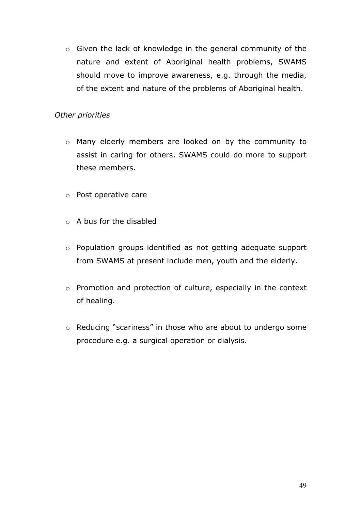o Given the lack of knowledge in the general community of the nature and extent of Aboriginal health problems, SWAMS should move to improve awareness, e.g. through the media, of the extent and nature of the problems of Aboriginal health.

## *Other priorities*

- o Many elderly members are looked on by the community to assist in caring for others. SWAMS could do more to support these members.
- o Post operative care
- o A bus for the disabled
- o Population groups identified as not getting adequate support from SWAMS at present include men, youth and the elderly.
- o Promotion and protection of culture, especially in the context of healing.
- o Reducing "scariness" in those who are about to undergo some procedure e.g. a surgical operation or dialysis.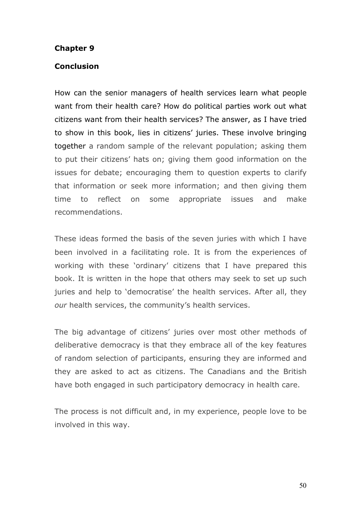#### **Chapter 9**

#### **Conclusion**

How can the senior managers of health services learn what people want from their health care? How do political parties work out what citizens want from their health services? The answer, as I have tried to show in this book, lies in citizens' juries. These involve bringing together a random sample of the relevant population; asking them to put their citizens' hats on; giving them good information on the issues for debate; encouraging them to question experts to clarify that information or seek more information; and then giving them time to reflect on some appropriate issues and make recommendations.

These ideas formed the basis of the seven juries with which I have been involved in a facilitating role. It is from the experiences of working with these 'ordinary' citizens that I have prepared this book. It is written in the hope that others may seek to set up such juries and help to 'democratise' the health services. After all, they *our* health services, the community's health services.

The big advantage of citizens' juries over most other methods of deliberative democracy is that they embrace all of the key features of random selection of participants, ensuring they are informed and they are asked to act as citizens. The Canadians and the British have both engaged in such participatory democracy in health care.

The process is not difficult and, in my experience, people love to be involved in this way.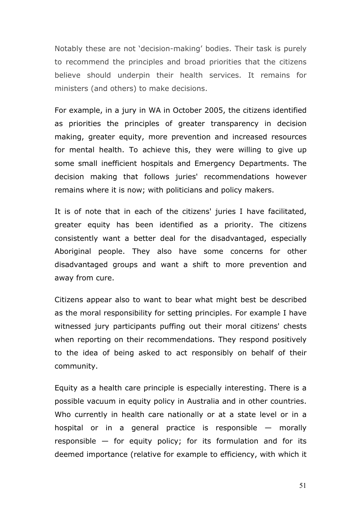Notably these are not 'decision-making' bodies. Their task is purely to recommend the principles and broad priorities that the citizens believe should underpin their health services. It remains for ministers (and others) to make decisions.

For example, in a jury in WA in October 2005, the citizens identified as priorities the principles of greater transparency in decision making, greater equity, more prevention and increased resources for mental health. To achieve this, they were willing to give up some small inefficient hospitals and Emergency Departments. The decision making that follows juries' recommendations however remains where it is now; with politicians and policy makers.

It is of note that in each of the citizens' juries I have facilitated, greater equity has been identified as a priority. The citizens consistently want a better deal for the disadvantaged, especially Aboriginal people. They also have some concerns for other disadvantaged groups and want a shift to more prevention and away from cure.

Citizens appear also to want to bear what might best be described as the moral responsibility for setting principles. For example I have witnessed jury participants puffing out their moral citizens' chests when reporting on their recommendations. They respond positively to the idea of being asked to act responsibly on behalf of their community.

Equity as a health care principle is especially interesting. There is a possible vacuum in equity policy in Australia and in other countries. Who currently in health care nationally or at a state level or in a hospital or in a general practice is responsible — morally responsible — for equity policy; for its formulation and for its deemed importance (relative for example to efficiency, with which it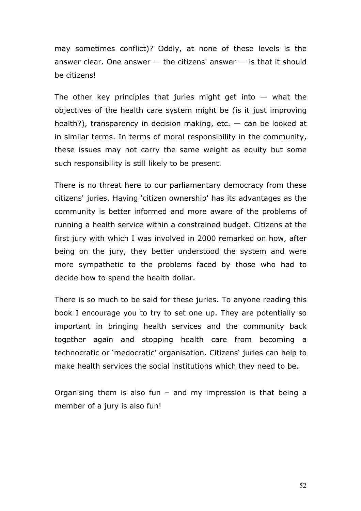may sometimes conflict)? Oddly, at none of these levels is the answer clear. One answer  $-$  the citizens' answer  $-$  is that it should be citizens!

The other key principles that juries might get into  $-$  what the objectives of the health care system might be (is it just improving health?), transparency in decision making, etc.  $-$  can be looked at in similar terms. In terms of moral responsibility in the community, these issues may not carry the same weight as equity but some such responsibility is still likely to be present.

There is no threat here to our parliamentary democracy from these citizens' juries. Having 'citizen ownership' has its advantages as the community is better informed and more aware of the problems of running a health service within a constrained budget. Citizens at the first jury with which I was involved in 2000 remarked on how, after being on the jury, they better understood the system and were more sympathetic to the problems faced by those who had to decide how to spend the health dollar.

There is so much to be said for these juries. To anyone reading this book I encourage you to try to set one up. They are potentially so important in bringing health services and the community back together again and stopping health care from becoming a technocratic or 'medocratic' organisation. Citizens' juries can help to make health services the social institutions which they need to be.

Organising them is also fun – and my impression is that being a member of a jury is also fun!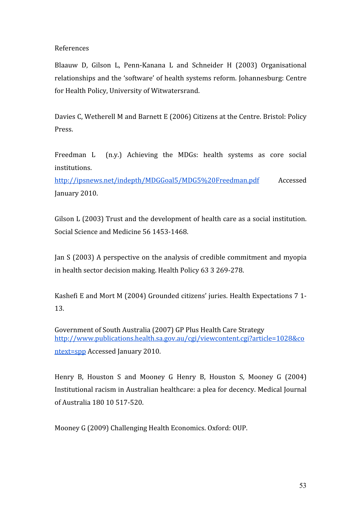References

Blaauw D, Gilson L, Penn-Kanana L and Schneider H (2003) Organisational relationships
and
the
'software'
of
health
systems
reform.
Johannesburg:
Centre for
Health
Policy,
University
of
Witwatersrand.

Davies C, Wetherell M and Barnett E (2006) Citizens at the Centre. Bristol: Policy Press.

Freedman L (n.y.) Achieving the MDGs: health systems as core social institutions.

http://ipsnews.net/indepth/MDGGoal5/MDG5%20Freedman.pdf
 Accessed January
2010.

Gilson L (2003) Trust and the development of health care as a social institution. Social
Science
and
Medicine
56
1453‐1468.

Jan
S
(2003)
A
perspective
on
 the
analysis
of
credible
commitment
and
myopia in
health
sector
decision
making.
Health
Policy
63
3
269‐278.

Kashefi E and Mort M (2004) Grounded citizens' juries. Health Expectations 7 1-13.

Government of South Australia (2007) GP Plus Health Care Strategy http://www.publications.health.sa.gov.au/cgi/viewcontent.cgi?article=1028&co ntext=spp
Accessed
January
2010.

Henry B, Houston S and Mooney G Henry B, Houston S, Mooney G (2004) Institutional
racism
in
Australian
healthcare:
a
plea
for
decency.
Medical
Journal of
Australia
180 10
517‐520.

Mooney
G
(2009)
Challenging
Health
Economics.
Oxford:
OUP.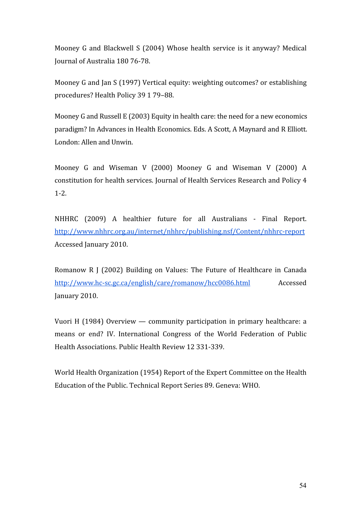Mooney G and Blackwell S (2004) Whose health service is it anyway? Medical Journal
of
Australia
180
76‐78.

Mooney G and Jan S (1997) Vertical equity: weighting outcomes? or establishing procedures?
Health
Policy 39
1
79–88.

Mooney G and Russell E (2003) Equity in health care: the need for a new economics paradigm?
In
Advances
in
Health
Economics.
Eds.
A
Scott,
A
Maynard
and
R
Elliott. London:
Allen
and
Unwin.

Mooney G and Wiseman V (2000) Mooney G and Wiseman V (2000) A constitution
for
health
services.
Journal
of
Health
Services
Research
and
Policy
4  $1 - 2$ .

NHHRC (2009) A healthier future for all Australians - Final Report. http://www.nhhrc.org.au/internet/nhhrc/publishing.nsf/Content/nhhrc‐report Accessed
January
2010.

Romanow R J (2002) Building on Values: The Future of Healthcare in Canada http://www.hc‐sc.gc.ca/english/care/romanow/hcc0086.html Accessed January
2010.

Vuori H (1984) Overview — community participation in primary healthcare: a means
 or
 end?
 IV.
 International
 Congress
 of
 the
 World
 Federation
 of
 Public Health
Associations.
Public
Health
Review
12
331‐339.

World Health Organization (1954) Report of the Expert Committee on the Health Education
of
the
Public.
Technical
Report
Series
89.
Geneva:
WHO.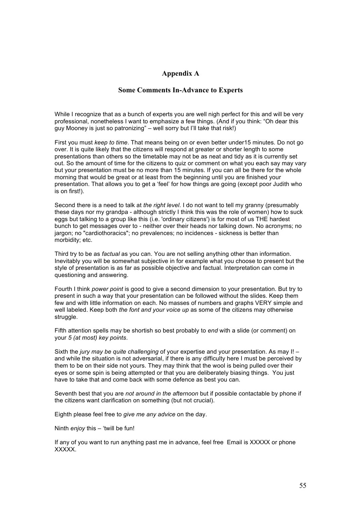#### **Appendix A**

#### **Some Comments In-Advance to Experts**

While I recognize that as a bunch of experts you are well nigh perfect for this and will be very professional, nonetheless I want to emphasize a few things. (And if you think: "Oh dear this guy Mooney is just so patronizing" – well sorry but I'll take that risk!)

First you must *keep to time*. That means being on or even better under15 minutes. Do not go over. It is quite likely that the citizens will respond at greater or shorter length to some presentations than others so the timetable may not be as neat and tidy as it is currently set out. So the amount of time for the citizens to quiz or comment on what you each say may vary but your presentation must be no more than 15 minutes. If you can all be there for the whole morning that would be great or at least from the beginning until you are finished your presentation. That allows you to get a 'feel' for how things are going (except poor Judith who is on first!).

Second there is a need to talk at *the right level*. I do not want to tell my granny (presumably these days nor my grandpa - although strictly I think this was the role of women) how to suck eggs but talking to a group like this (i.e. 'ordinary citizens') is for most of us THE hardest bunch to get messages over to - neither over their heads nor talking down. No acronyms; no jargon; no "cardiothoracics"; no prevalences; no incidences - sickness is better than morbidity; etc.

Third try to be as *factual* as you can. You are not selling anything other than information. Inevitably you will be somewhat subjective in for example what you choose to present but the style of presentation is as far as possible objective and factual. Interpretation can come in questioning and answering.

Fourth I think *power point* is good to give a second dimension to your presentation. But try to present in such a way that your presentation can be followed without the slides. Keep them few and with little information on each. No masses of numbers and graphs VERY simple and well labeled. Keep both *the font and your voice up* as some of the citizens may otherwise struggle.

Fifth attention spells may be shortish so best probably to *end* with a slide (or comment) on your *5 (at most) key points*.

Sixth the *jury may be quite challenging* of your expertise and your presentation. As may I! – and while the situation is not adversarial, if there is any difficulty here I must be perceived by them to be on their side not yours. They may think that the wool is being pulled over their eyes or some spin is being attempted or that you are deliberately biasing things. You just have to take that and come back with some defence as best you can.

Seventh best that you are *not around in the afternoon* but if possible contactable by phone if the citizens want clarification on something (but not crucial).

Eighth please feel free to *give me any advice* on the day.

Ninth *enjoy* this – 'twill be fun!

If any of you want to run anything past me in advance, feel free Email is XXXXX or phone XXXXX.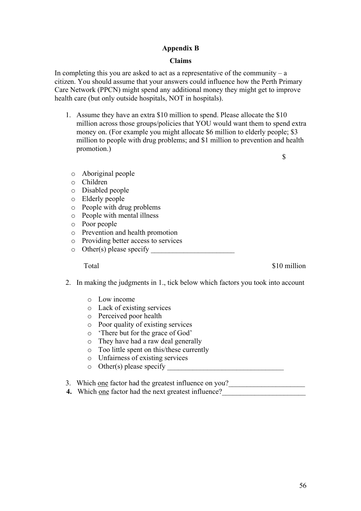#### **Appendix B**

#### **Claims**

In completing this you are asked to act as a representative of the community  $-$  a citizen. You should assume that your answers could influence how the Perth Primary Care Network (PPCN) might spend any additional money they might get to improve health care (but only outside hospitals, NOT in hospitals).

1. Assume they have an extra \$10 million to spend. Please allocate the \$10 million across those groups/policies that YOU would want them to spend extra money on. (For example you might allocate \$6 million to elderly people; \$3 million to people with drug problems; and \$1 million to prevention and health promotion.)

 $\mathbb{S}$ 

- o Aboriginal people
- o Children
- o Disabled people
- o Elderly people
- o People with drug problems
- o People with mental illness
- o Poor people
- o Prevention and health promotion
- o Providing better access to services
- $\circ$  Other(s) please specify

Total  $\sim$  510 million

- 2. In making the judgments in 1., tick below which factors you took into account
	- o Low income
	- o Lack of existing services
	- o Perceived poor health
	- o Poor quality of existing services
	- o 'There but for the grace of God'
	- o They have had a raw deal generally
	- o Too little spent on this/these currently
	- o Unfairness of existing services
	- o Other(s) please specify \_\_\_\_\_\_\_\_\_\_\_\_\_\_\_\_\_\_\_\_\_\_\_\_\_\_\_\_\_\_\_\_
- 3. Which <u>one</u> factor had the greatest influence on you?
- **4.** Which one factor had the next greatest influence?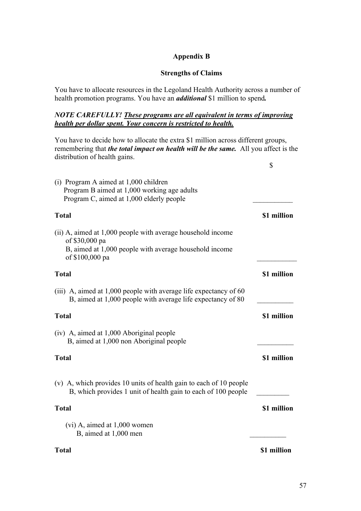#### **Appendix B**

#### **Strengths of Claims**

You have to allocate resources in the Legoland Health Authority across a number of health promotion programs. You have an *additional* \$1 million to spend*.* 

#### *NOTE CAREFULLY! These programs are all equivalent in terms of improving health per dollar spent. Your concern is restricted to health.*

You have to decide how to allocate the extra \$1 million across different groups, remembering that *the total impact on health will be the same.* All you affect is the distribution of health gains.

 $\mathcal{S}$ 

| (i) Program A aimed at 1,000 children<br>Program B aimed at 1,000 working age adults<br>Program C, aimed at 1,000 elderly people                           |             |
|------------------------------------------------------------------------------------------------------------------------------------------------------------|-------------|
| <b>Total</b>                                                                                                                                               | \$1 million |
| (ii) A, aimed at 1,000 people with average household income<br>of \$30,000 pa<br>B, aimed at 1,000 people with average household income<br>of \$100,000 pa |             |
| <b>Total</b>                                                                                                                                               | \$1 million |
| (iii) A, aimed at $1,000$ people with average life expectancy of 60<br>B, aimed at 1,000 people with average life expectancy of 80                         |             |
| <b>Total</b>                                                                                                                                               | \$1 million |
| (iv) A, aimed at 1,000 Aboriginal people<br>B, aimed at 1,000 non Aboriginal people                                                                        |             |
| <b>Total</b>                                                                                                                                               | \$1 million |
| (v) A, which provides 10 units of health gain to each of 10 people<br>B, which provides 1 unit of health gain to each of 100 people                        |             |
| <b>Total</b>                                                                                                                                               | \$1 million |
| $(vi)$ A, aimed at 1,000 women<br>B, aimed at 1,000 men                                                                                                    |             |
| Total                                                                                                                                                      | \$1 million |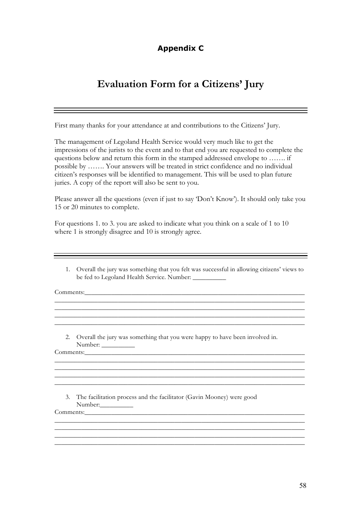## **Appendix C**

# **Evaluation Form for a Citizens' Jury**

First many thanks for your attendance at and contributions to the Citizens' Jury.

The management of Legoland Health Service would very much like to get the impressions of the jurists to the event and to that end you are requested to complete the questions below and return this form in the stamped addressed envelope to ……. if possible by ……. Your answers will be treated in strict confidence and no individual citizen's responses will be identified to management. This will be used to plan future juries. A copy of the report will also be sent to you.

Please answer all the questions (even if just to say 'Don't Know'). It should only take you 15 or 20 minutes to complete.

For questions 1. to 3. you are asked to indicate what you think on a scale of 1 to 10 where 1 is strongly disagree and 10 is strongly agree.

1. Overall the jury was something that you felt was successful in allowing citizens' views to be fed to Legoland Health Service. Number:

\_\_\_\_\_\_\_\_\_\_\_\_\_\_\_\_\_\_\_\_\_\_\_\_\_\_\_\_\_\_\_\_\_\_\_\_\_\_\_\_\_\_\_\_\_\_\_\_\_\_\_\_\_\_\_\_\_\_\_\_\_\_\_\_\_\_\_\_\_\_\_\_\_\_\_

 $\mathcal{L}_\text{max}$  , and the set of the set of the set of the set of the set of the set of the set of the set of the set of the set of the set of the set of the set of the set of the set of the set of the set of the set of the \_\_\_\_\_\_\_\_\_\_\_\_\_\_\_\_\_\_\_\_\_\_\_\_\_\_\_\_\_\_\_\_\_\_\_\_\_\_\_\_\_\_\_\_\_\_\_\_\_\_\_\_\_\_\_\_\_\_\_\_\_\_\_\_\_\_\_\_\_\_\_\_\_\_\_

\_\_\_\_\_\_\_\_\_\_\_\_\_\_\_\_\_\_\_\_\_\_\_\_\_\_\_\_\_\_\_\_\_\_\_\_\_\_\_\_\_\_\_\_\_\_\_\_\_\_\_\_\_\_\_\_\_\_\_\_\_\_\_\_\_\_\_\_\_\_\_\_\_\_\_

\_\_\_\_\_\_\_\_\_\_\_\_\_\_\_\_\_\_\_\_\_\_\_\_\_\_\_\_\_\_\_\_\_\_\_\_\_\_\_\_\_\_\_\_\_\_\_\_\_\_\_\_\_\_\_\_\_\_\_\_\_\_\_\_\_\_\_\_\_\_\_\_\_\_\_ \_\_\_\_\_\_\_\_\_\_\_\_\_\_\_\_\_\_\_\_\_\_\_\_\_\_\_\_\_\_\_\_\_\_\_\_\_\_\_\_\_\_\_\_\_\_\_\_\_\_\_\_\_\_\_\_\_\_\_\_\_\_\_\_\_\_\_\_\_\_\_\_\_\_\_

\_\_\_\_\_\_\_\_\_\_\_\_\_\_\_\_\_\_\_\_\_\_\_\_\_\_\_\_\_\_\_\_\_\_\_\_\_\_\_\_\_\_\_\_\_\_\_\_\_\_\_\_\_\_\_\_\_\_\_\_\_\_\_\_\_\_\_\_\_\_\_\_\_\_\_

\_\_\_\_\_\_\_\_\_\_\_\_\_\_\_\_\_\_\_\_\_\_\_\_\_\_\_\_\_\_\_\_\_\_\_\_\_\_\_\_\_\_\_\_\_\_\_\_\_\_\_\_\_\_\_\_\_\_\_\_\_\_\_\_\_\_\_\_\_\_\_\_\_\_\_ \_\_\_\_\_\_\_\_\_\_\_\_\_\_\_\_\_\_\_\_\_\_\_\_\_\_\_\_\_\_\_\_\_\_\_\_\_\_\_\_\_\_\_\_\_\_\_\_\_\_\_\_\_\_\_\_\_\_\_\_\_\_\_\_\_\_\_\_\_\_\_\_\_\_\_

\_\_\_\_\_\_\_\_\_\_\_\_\_\_\_\_\_\_\_\_\_\_\_\_\_\_\_\_\_\_\_\_\_\_\_\_\_\_\_\_\_\_\_\_\_\_\_\_\_\_\_\_\_\_\_\_\_\_\_\_\_\_\_\_\_\_\_\_\_\_\_\_\_\_\_

Comments:\_\_\_\_\_\_\_\_\_\_\_\_\_\_\_\_\_\_\_\_\_\_\_\_\_\_\_\_\_\_\_\_\_\_\_\_\_\_\_\_\_\_\_\_\_\_\_\_\_\_\_\_\_\_\_\_\_\_\_\_\_\_\_\_\_\_

2. Overall the jury was something that you were happy to have been involved in. Number: \_\_\_\_\_\_\_\_\_\_

Comments:

3. The facilitation process and the facilitator (Gavin Mooney) were good Number:\_\_\_\_\_\_\_\_\_\_ Comments: